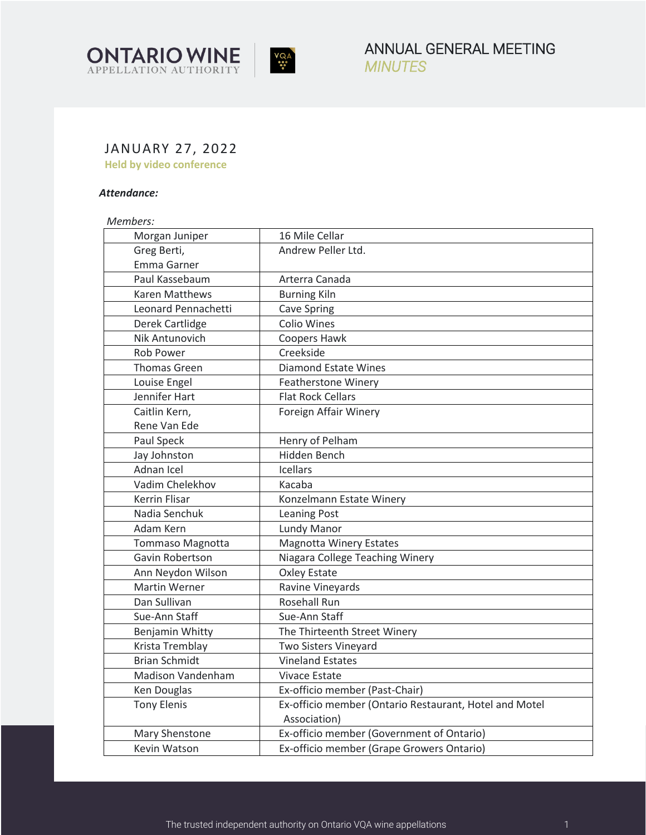



ANNUAL GENERAL MEETING *MINUTES* 

# JANUARY 27, 2022

**Held by video conference** 

# *Attendance:*

*Members:* 

| Morgan Juniper          | 16 Mile Cellar                                         |  |
|-------------------------|--------------------------------------------------------|--|
| Greg Berti,             | Andrew Peller Ltd.                                     |  |
| Emma Garner             |                                                        |  |
| Paul Kassebaum          | Arterra Canada                                         |  |
| <b>Karen Matthews</b>   | <b>Burning Kiln</b>                                    |  |
| Leonard Pennachetti     | <b>Cave Spring</b>                                     |  |
| Derek Cartlidge         | <b>Colio Wines</b>                                     |  |
| Nik Antunovich          | Coopers Hawk                                           |  |
| <b>Rob Power</b>        | Creekside                                              |  |
| <b>Thomas Green</b>     | <b>Diamond Estate Wines</b>                            |  |
| Louise Engel            | <b>Featherstone Winery</b>                             |  |
| Jennifer Hart           | <b>Flat Rock Cellars</b>                               |  |
| Caitlin Kern,           | Foreign Affair Winery                                  |  |
| Rene Van Ede            |                                                        |  |
| Paul Speck              | Henry of Pelham                                        |  |
| Jay Johnston            | Hidden Bench                                           |  |
| Adnan Icel              | <b>Icellars</b>                                        |  |
| Vadim Chelekhov         | Kacaba                                                 |  |
| <b>Kerrin Flisar</b>    | Konzelmann Estate Winery                               |  |
| Nadia Senchuk           | <b>Leaning Post</b>                                    |  |
| Adam Kern               | Lundy Manor                                            |  |
| <b>Tommaso Magnotta</b> | <b>Magnotta Winery Estates</b>                         |  |
| Gavin Robertson         | Niagara College Teaching Winery                        |  |
| Ann Neydon Wilson       | <b>Oxley Estate</b>                                    |  |
| <b>Martin Werner</b>    | Ravine Vineyards                                       |  |
| Dan Sullivan            | <b>Rosehall Run</b>                                    |  |
| Sue-Ann Staff           | Sue-Ann Staff                                          |  |
| Benjamin Whitty         | The Thirteenth Street Winery                           |  |
| Krista Tremblay         | Two Sisters Vineyard                                   |  |
| <b>Brian Schmidt</b>    | <b>Vineland Estates</b>                                |  |
| Madison Vandenham       | <b>Vivace Estate</b>                                   |  |
| Ken Douglas             | Ex-officio member (Past-Chair)                         |  |
| <b>Tony Elenis</b>      | Ex-officio member (Ontario Restaurant, Hotel and Motel |  |
|                         | Association)                                           |  |
| Mary Shenstone          | Ex-officio member (Government of Ontario)              |  |
| Kevin Watson            | Ex-officio member (Grape Growers Ontario)              |  |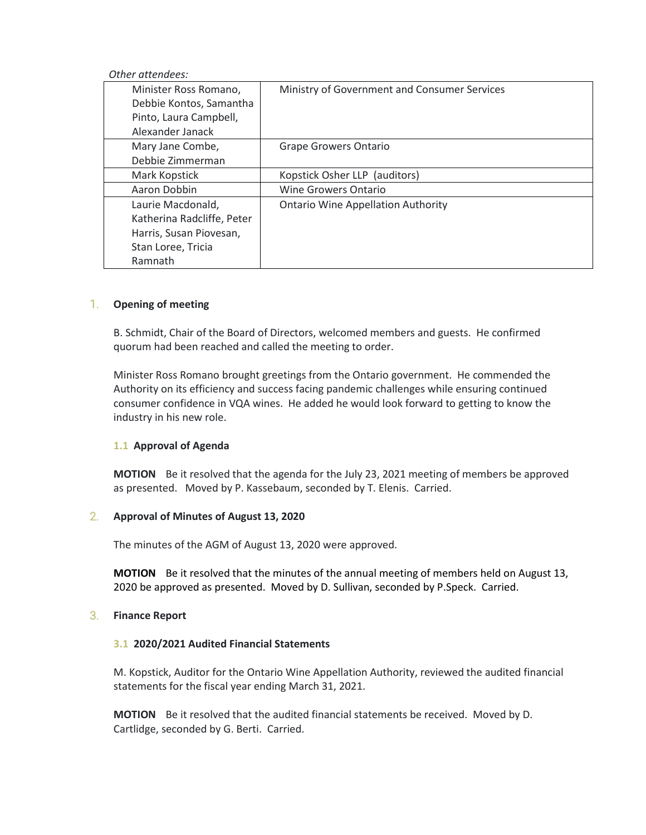#### *Other attendees:*

| Minister Ross Romano,<br>Debbie Kontos, Samantha<br>Pinto, Laura Campbell, | Ministry of Government and Consumer Services |
|----------------------------------------------------------------------------|----------------------------------------------|
| Alexander Janack                                                           |                                              |
| Mary Jane Combe,                                                           | Grape Growers Ontario                        |
| Debbie Zimmerman                                                           |                                              |
| Mark Kopstick                                                              | Kopstick Osher LLP (auditors)                |
| Aaron Dobbin                                                               | <b>Wine Growers Ontario</b>                  |
| Laurie Macdonald,                                                          | <b>Ontario Wine Appellation Authority</b>    |
| Katherina Radcliffe, Peter                                                 |                                              |
| Harris, Susan Piovesan,                                                    |                                              |
| Stan Loree, Tricia                                                         |                                              |
| Ramnath                                                                    |                                              |

## 1. **Opening of meeting**

B. Schmidt, Chair of the Board of Directors, welcomed members and guests. He confirmed quorum had been reached and called the meeting to order.

Minister Ross Romano brought greetings from the Ontario government. He commended the Authority on its efficiency and success facing pandemic challenges while ensuring continued consumer confidence in VQA wines. He added he would look forward to getting to know the industry in his new role.

# **1.1 Approval of Agenda**

**MOTION** Be it resolved that the agenda for the July 23, 2021 meeting of members be approved as presented. Moved by P. Kassebaum, seconded by T. Elenis. Carried.

## 2. **Approval of Minutes of August 13, 2020**

The minutes of the AGM of August 13, 2020 were approved.

**MOTION** Be it resolved that the minutes of the annual meeting of members held on August 13, 2020 be approved as presented. Moved by D. Sullivan, seconded by P.Speck. Carried.

#### 3. **Finance Report**

#### **3.1 2020/2021 Audited Financial Statements**

M. Kopstick, Auditor for the Ontario Wine Appellation Authority, reviewed the audited financial statements for the fiscal year ending March 31, 2021.

**MOTION** Be it resolved that the audited financial statements be received. Moved by D. Cartlidge, seconded by G. Berti. Carried.